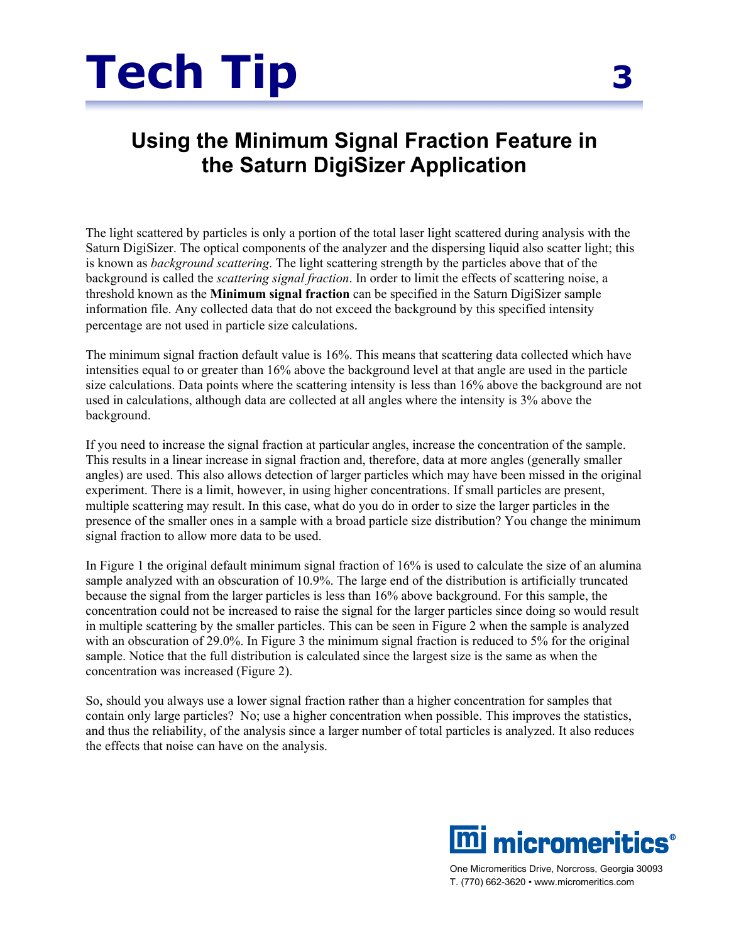

## **Using the Minimum Signal Fraction Feature in the Saturn DigiSizer Application**

The light scattered by particles is only a portion of the total laser light scattered during analysis with the Saturn DigiSizer. The optical components of the analyzer and the dispersing liquid also scatter light; this is known as *background scattering*. The light scattering strength by the particles above that of the background is called the *scattering signal fraction*. In order to limit the effects of scattering noise, a threshold known as the **Minimum signal fraction** can be specified in the Saturn DigiSizer sample information file. Any collected data that do not exceed the background by this specified intensity percentage are not used in particle size calculations.

The minimum signal fraction default value is 16%. This means that scattering data collected which have intensities equal to or greater than 16% above the background level at that angle are used in the particle size calculations. Data points where the scattering intensity is less than 16% above the background are not used in calculations, although data are collected at all angles where the intensity is 3% above the background.

If you need to increase the signal fraction at particular angles, increase the concentration of the sample. This results in a linear increase in signal fraction and, therefore, data at more angles (generally smaller angles) are used. This also allows detection of larger particles which may have been missed in the original experiment. There is a limit, however, in using higher concentrations. If small particles are present, multiple scattering may result. In this case, what do you do in order to size the larger particles in the presence of the smaller ones in a sample with a broad particle size distribution? You change the minimum signal fraction to allow more data to be used.

In Figure 1 the original default minimum signal fraction of 16% is used to calculate the size of an alumina sample analyzed with an obscuration of 10.9%. The large end of the distribution is artificially truncated because the signal from the larger particles is less than 16% above background. For this sample, the concentration could not be increased to raise the signal for the larger particles since doing so would result in multiple scattering by the smaller particles. This can be seen in Figure 2 when the sample is analyzed with an obscuration of 29.0%. In Figure 3 the minimum signal fraction is reduced to 5% for the original sample. Notice that the full distribution is calculated since the largest size is the same as when the concentration was increased (Figure 2).

So, should you always use a lower signal fraction rather than a higher concentration for samples that contain only large particles? No; use a higher concentration when possible. This improves the statistics, and thus the reliability, of the analysis since a larger number of total particles is analyzed. It also reduces the effects that noise can have on the analysis.



One Micromeritics Drive, Norcross, Georgia 30093 T. (770) 662-3620 • www.micromeritics.com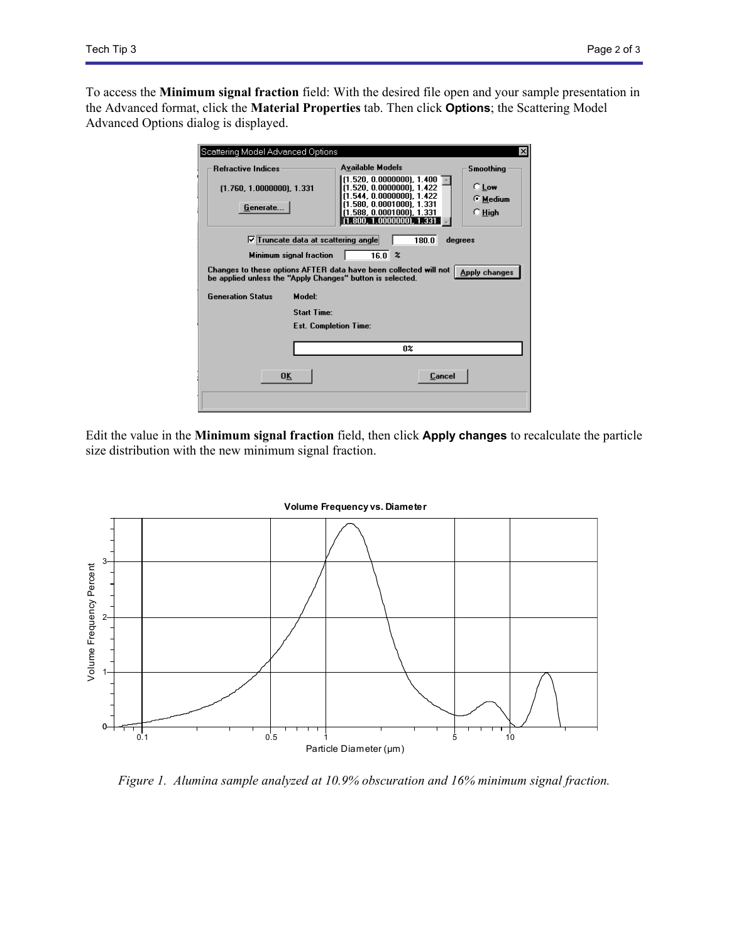To access the **Minimum signal fraction** field: With the desired file open and your sample presentation in the Advanced format, click the **Material Properties** tab. Then click **Options**; the Scattering Model Advanced Options dialog is displayed.

| Scattering Model Advanced Options<br>$\vert x \vert$                                                                                                  |                                                                                     |                     |
|-------------------------------------------------------------------------------------------------------------------------------------------------------|-------------------------------------------------------------------------------------|---------------------|
| <b>Refractive Indices</b>                                                                                                                             | <b>Available Models</b>                                                             | <b>Smoothing</b>    |
| (1.760, 1.0000000), 1.331                                                                                                                             | (1.520, 0.0000000), 1.400<br>(1.520, 0.0000000), 1.422<br>(1.544, 0.0000000), 1.422 | $C$ Low<br>⊙ Medium |
| Generate                                                                                                                                              | (1.580, 0.0001000), 1.331<br>(1.588, 0.0001000), 1.331<br>1.800, 1.00000001, 1.331  | $\cap$ High         |
| $\nabla$ Truncate data at scattering angle<br>180.0<br>degrees                                                                                        |                                                                                     |                     |
| 16.0 x<br>Minimum signal fraction                                                                                                                     |                                                                                     |                     |
| Changes to these options AFTER data have been collected will not<br><b>Apply changes</b><br>be applied unless the "Apply Changes" button is selected. |                                                                                     |                     |
| <b>Generation Status</b><br>Model:                                                                                                                    |                                                                                     |                     |
| <b>Start Time:</b>                                                                                                                                    |                                                                                     |                     |
| <b>Est. Completion Time:</b>                                                                                                                          |                                                                                     |                     |
|                                                                                                                                                       |                                                                                     |                     |
|                                                                                                                                                       | 0%                                                                                  |                     |
| 0K                                                                                                                                                    | Cancel                                                                              |                     |
|                                                                                                                                                       |                                                                                     |                     |

Edit the value in the **Minimum signal fraction** field, then click **Apply changes** to recalculate the particle size distribution with the new minimum signal fraction.



*Figure 1. Alumina sample analyzed at 10.9% obscuration and 16% minimum signal fraction.*